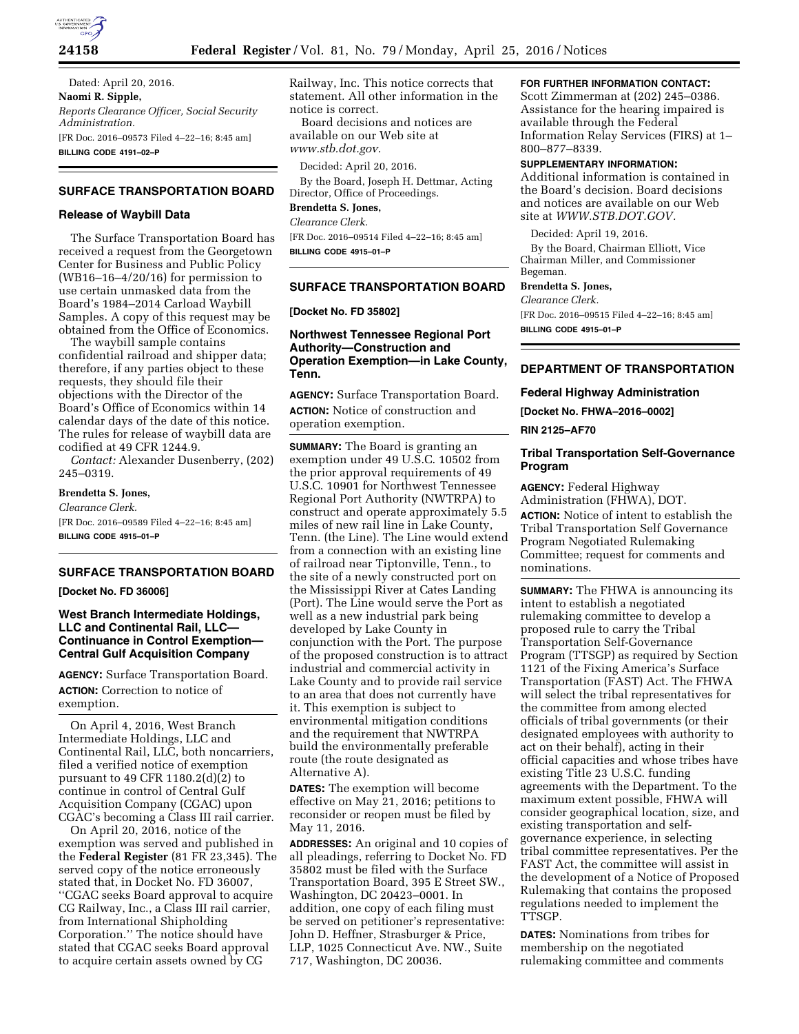

**24158 Federal Register** / Vol. 81, No. 79 / Monday, April 25, 2016 / Notices

Dated: April 20, 2016. **Naomi R. Sipple,**  *Reports Clearance Officer, Social Security Administration.*  [FR Doc. 2016–09573 Filed 4–22–16; 8:45 am] **BILLING CODE 4191–02–P** 

# **SURFACE TRANSPORTATION BOARD**

## **Release of Waybill Data**

The Surface Transportation Board has received a request from the Georgetown Center for Business and Public Policy (WB16–16–4/20/16) for permission to use certain unmasked data from the Board's 1984–2014 Carload Waybill Samples. A copy of this request may be obtained from the Office of Economics.

The waybill sample contains confidential railroad and shipper data; therefore, if any parties object to these requests, they should file their objections with the Director of the Board's Office of Economics within 14 calendar days of the date of this notice. The rules for release of waybill data are codified at 49 CFR 1244.9.

*Contact:* Alexander Dusenberry, (202) 245–0319.

#### **Brendetta S. Jones,**

*Clearance Clerk.*  [FR Doc. 2016–09589 Filed 4–22–16; 8:45 am] **BILLING CODE 4915–01–P** 

## **SURFACE TRANSPORTATION BOARD**

**[Docket No. FD 36006]** 

# **West Branch Intermediate Holdings, LLC and Continental Rail, LLC— Continuance in Control Exemption— Central Gulf Acquisition Company**

**AGENCY:** Surface Transportation Board. **ACTION:** Correction to notice of exemption.

On April 4, 2016, West Branch Intermediate Holdings, LLC and Continental Rail, LLC, both noncarriers, filed a verified notice of exemption pursuant to 49 CFR 1180.2(d)(2) to continue in control of Central Gulf Acquisition Company (CGAC) upon CGAC's becoming a Class III rail carrier.

On April 20, 2016, notice of the exemption was served and published in the **Federal Register** (81 FR 23,345). The served copy of the notice erroneously stated that, in Docket No. FD 36007, ''CGAC seeks Board approval to acquire CG Railway, Inc., a Class III rail carrier, from International Shipholding Corporation.'' The notice should have stated that CGAC seeks Board approval to acquire certain assets owned by CG

Railway, Inc. This notice corrects that statement. All other information in the notice is correct.

Board decisions and notices are available on our Web site at *[www.stb.dot.gov.](http://www.stb.dot.gov)* 

Decided: April 20, 2016.

By the Board, Joseph H. Dettmar, Acting Director, Office of Proceedings.

**Brendetta S. Jones,** 

*Clearance Clerk.* 

[FR Doc. 2016–09514 Filed 4–22–16; 8:45 am] **BILLING CODE 4915–01–P** 

# **SURFACE TRANSPORTATION BOARD**

#### **[Docket No. FD 35802]**

## **Northwest Tennessee Regional Port Authority—Construction and Operation Exemption—in Lake County, Tenn.**

**AGENCY:** Surface Transportation Board. **ACTION:** Notice of construction and operation exemption.

**SUMMARY:** The Board is granting an exemption under 49 U.S.C. 10502 from the prior approval requirements of 49 U.S.C. 10901 for Northwest Tennessee Regional Port Authority (NWTRPA) to construct and operate approximately 5.5 miles of new rail line in Lake County, Tenn. (the Line). The Line would extend from a connection with an existing line of railroad near Tiptonville, Tenn., to the site of a newly constructed port on the Mississippi River at Cates Landing (Port). The Line would serve the Port as well as a new industrial park being developed by Lake County in conjunction with the Port. The purpose of the proposed construction is to attract industrial and commercial activity in Lake County and to provide rail service to an area that does not currently have it. This exemption is subject to environmental mitigation conditions and the requirement that NWTRPA build the environmentally preferable route (the route designated as Alternative A).

**DATES:** The exemption will become effective on May 21, 2016; petitions to reconsider or reopen must be filed by May 11, 2016.

**ADDRESSES:** An original and 10 copies of all pleadings, referring to Docket No. FD 35802 must be filed with the Surface Transportation Board, 395 E Street SW., Washington, DC 20423–0001. In addition, one copy of each filing must be served on petitioner's representative: John D. Heffner, Strasburger & Price, LLP, 1025 Connecticut Ave. NW., Suite 717, Washington, DC 20036.

## **FOR FURTHER INFORMATION CONTACT:**

Scott Zimmerman at (202) 245–0386. Assistance for the hearing impaired is available through the Federal Information Relay Services (FIRS) at 1– 800–877–8339.

## **SUPPLEMENTARY INFORMATION:**

Additional information is contained in the Board's decision. Board decisions and notices are available on our Web site at *[WWW.STB.DOT.GOV.](http://WWW.STB.DOT.GOV)* 

Decided: April 19, 2016.

By the Board, Chairman Elliott, Vice Chairman Miller, and Commissioner Begeman.

# **Brendetta S. Jones,**

*Clearance Clerk.* 

[FR Doc. 2016–09515 Filed 4–22–16; 8:45 am] **BILLING CODE 4915–01–P** 

### **DEPARTMENT OF TRANSPORTATION**

### **Federal Highway Administration**

**[Docket No. FHWA–2016–0002]** 

**RIN 2125–AF70** 

## **Tribal Transportation Self-Governance Program**

**AGENCY:** Federal Highway Administration (FHWA), DOT. **ACTION:** Notice of intent to establish the Tribal Transportation Self Governance Program Negotiated Rulemaking Committee; request for comments and nominations.

**SUMMARY:** The FHWA is announcing its intent to establish a negotiated rulemaking committee to develop a proposed rule to carry the Tribal Transportation Self-Governance Program (TTSGP) as required by Section 1121 of the Fixing America's Surface Transportation (FAST) Act. The FHWA will select the tribal representatives for the committee from among elected officials of tribal governments (or their designated employees with authority to act on their behalf), acting in their official capacities and whose tribes have existing Title 23 U.S.C. funding agreements with the Department. To the maximum extent possible, FHWA will consider geographical location, size, and existing transportation and selfgovernance experience, in selecting tribal committee representatives. Per the FAST Act, the committee will assist in the development of a Notice of Proposed Rulemaking that contains the proposed regulations needed to implement the TTSGP.

**DATES:** Nominations from tribes for membership on the negotiated rulemaking committee and comments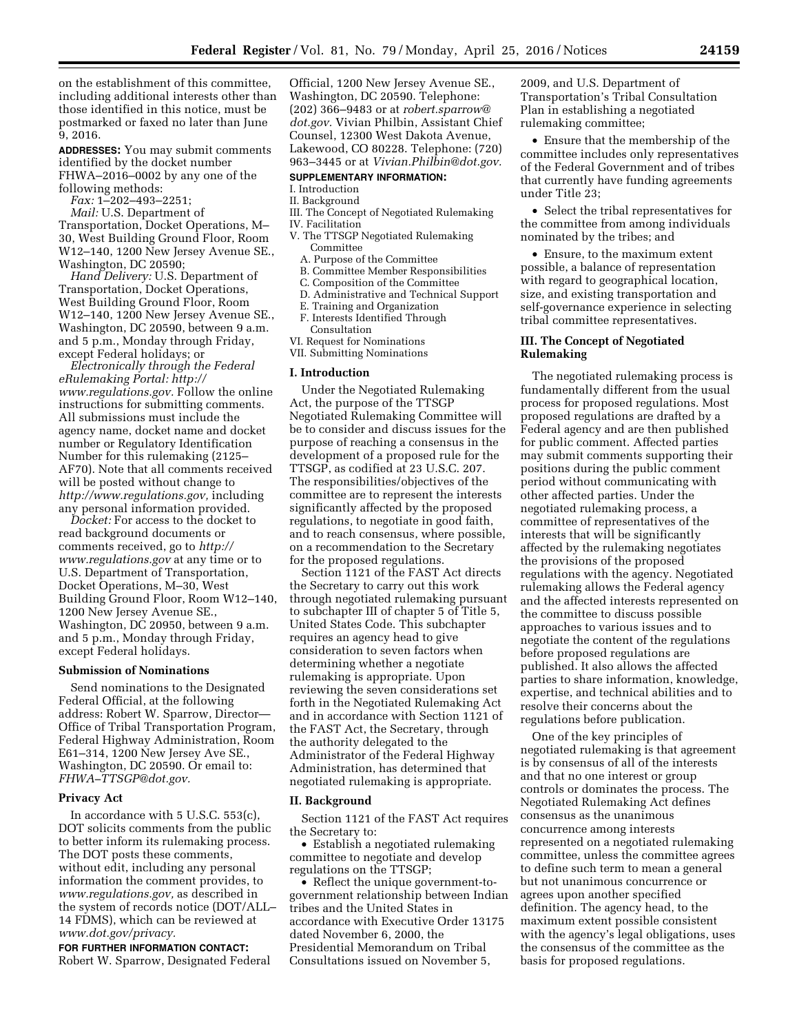on the establishment of this committee, including additional interests other than those identified in this notice, must be postmarked or faxed no later than June 9, 2016.

**ADDRESSES:** You may submit comments identified by the docket number FHWA–2016–0002 by any one of the following methods:

*Fax:* 1–202–493–2251;

*Mail:* U.S. Department of Transportation, Docket Operations, M– 30, West Building Ground Floor, Room W12–140, 1200 New Jersey Avenue SE., Washington, DC 20590;

*Hand Delivery:* U.S. Department of Transportation, Docket Operations, West Building Ground Floor, Room W12–140, 1200 New Jersey Avenue SE., Washington, DC 20590, between 9 a.m. and 5 p.m., Monday through Friday, except Federal holidays; or

*Electronically through the Federal eRulemaking Portal: [http://](http://www.regulations.gov) [www.regulations.gov.](http://www.regulations.gov)* Follow the online instructions for submitting comments. All submissions must include the agency name, docket name and docket number or Regulatory Identification Number for this rulemaking (2125– AF70). Note that all comments received will be posted without change to *[http://www.regulations.gov,](http://www.regulations.gov)* including any personal information provided.

*Docket:* For access to the docket to read background documents or comments received, go to *[http://](http://www.regulations.gov) [www.regulations.gov](http://www.regulations.gov)* at any time or to U.S. Department of Transportation, Docket Operations, M–30, West Building Ground Floor, Room W12–140, 1200 New Jersey Avenue SE., Washington, DC 20950, between 9 a.m. and 5 p.m., Monday through Friday, except Federal holidays.

#### **Submission of Nominations**

Send nominations to the Designated Federal Official, at the following address: Robert W. Sparrow, Director— Office of Tribal Transportation Program, Federal Highway Administration, Room E61–314, 1200 New Jersey Ave SE., Washington, DC 20590. Or email to: *[FHWA–TTSGP@dot.gov.](mailto:FHWA-TTSGP@dot.gov)* 

#### **Privacy Act**

In accordance with 5 U.S.C. 553(c), DOT solicits comments from the public to better inform its rulemaking process. The DOT posts these comments, without edit, including any personal information the comment provides, to *[www.regulations.gov,](http://www.regulations.gov)* as described in the system of records notice (DOT/ALL– 14 FDMS), which can be reviewed at *[www.dot.gov/privacy.](http://www.dot.gov/privacy)* 

**FOR FURTHER INFORMATION CONTACT:**  Robert W. Sparrow, Designated Federal Official, 1200 New Jersey Avenue SE., Washington, DC 20590. Telephone: (202) 366–9483 or at *[robert.sparrow@](mailto:robert.sparrow@dot.gov) [dot.gov.](mailto:robert.sparrow@dot.gov)* Vivian Philbin, Assistant Chief Counsel, 12300 West Dakota Avenue, Lakewood, CO 80228. Telephone: (720) 963–3445 or at *[Vivian.Philbin@dot.gov.](mailto:Vivian.Philbin@dot.gov)* 

# **SUPPLEMENTARY INFORMATION:**

# I. Introduction

# II. Background

- III. The Concept of Negotiated Rulemaking
- IV. Facilitation
- V. The TTSGP Negotiated Rulemaking Committee
	- A. Purpose of the Committee
	- B. Committee Member Responsibilities
	- C. Composition of the Committee
	- D. Administrative and Technical Support
	- E. Training and Organization
	- F. Interests Identified Through
	- Consultation
- VI. Request for Nominations
- VII. Submitting Nominations

#### **I. Introduction**

Under the Negotiated Rulemaking Act, the purpose of the TTSGP Negotiated Rulemaking Committee will be to consider and discuss issues for the purpose of reaching a consensus in the development of a proposed rule for the TTSGP, as codified at 23 U.S.C. 207. The responsibilities/objectives of the committee are to represent the interests significantly affected by the proposed regulations, to negotiate in good faith, and to reach consensus, where possible, on a recommendation to the Secretary for the proposed regulations.

Section 1121 of the FAST Act directs the Secretary to carry out this work through negotiated rulemaking pursuant to subchapter III of chapter 5 of Title 5, United States Code. This subchapter requires an agency head to give consideration to seven factors when determining whether a negotiate rulemaking is appropriate. Upon reviewing the seven considerations set forth in the Negotiated Rulemaking Act and in accordance with Section 1121 of the FAST Act, the Secretary, through the authority delegated to the Administrator of the Federal Highway Administration, has determined that negotiated rulemaking is appropriate.

#### **II. Background**

Section 1121 of the FAST Act requires the Secretary to:

• Establish a negotiated rulemaking committee to negotiate and develop regulations on the TTSGP;

• Reflect the unique government-togovernment relationship between Indian tribes and the United States in accordance with Executive Order 13175 dated November 6, 2000, the Presidential Memorandum on Tribal Consultations issued on November 5,

2009, and U.S. Department of Transportation's Tribal Consultation Plan in establishing a negotiated rulemaking committee;

• Ensure that the membership of the committee includes only representatives of the Federal Government and of tribes that currently have funding agreements under Title 23;

• Select the tribal representatives for the committee from among individuals nominated by the tribes; and

• Ensure, to the maximum extent possible, a balance of representation with regard to geographical location, size, and existing transportation and self-governance experience in selecting tribal committee representatives.

# **III. The Concept of Negotiated Rulemaking**

The negotiated rulemaking process is fundamentally different from the usual process for proposed regulations. Most proposed regulations are drafted by a Federal agency and are then published for public comment. Affected parties may submit comments supporting their positions during the public comment period without communicating with other affected parties. Under the negotiated rulemaking process, a committee of representatives of the interests that will be significantly affected by the rulemaking negotiates the provisions of the proposed regulations with the agency. Negotiated rulemaking allows the Federal agency and the affected interests represented on the committee to discuss possible approaches to various issues and to negotiate the content of the regulations before proposed regulations are published. It also allows the affected parties to share information, knowledge, expertise, and technical abilities and to resolve their concerns about the regulations before publication.

One of the key principles of negotiated rulemaking is that agreement is by consensus of all of the interests and that no one interest or group controls or dominates the process. The Negotiated Rulemaking Act defines consensus as the unanimous concurrence among interests represented on a negotiated rulemaking committee, unless the committee agrees to define such term to mean a general but not unanimous concurrence or agrees upon another specified definition. The agency head, to the maximum extent possible consistent with the agency's legal obligations, uses the consensus of the committee as the basis for proposed regulations.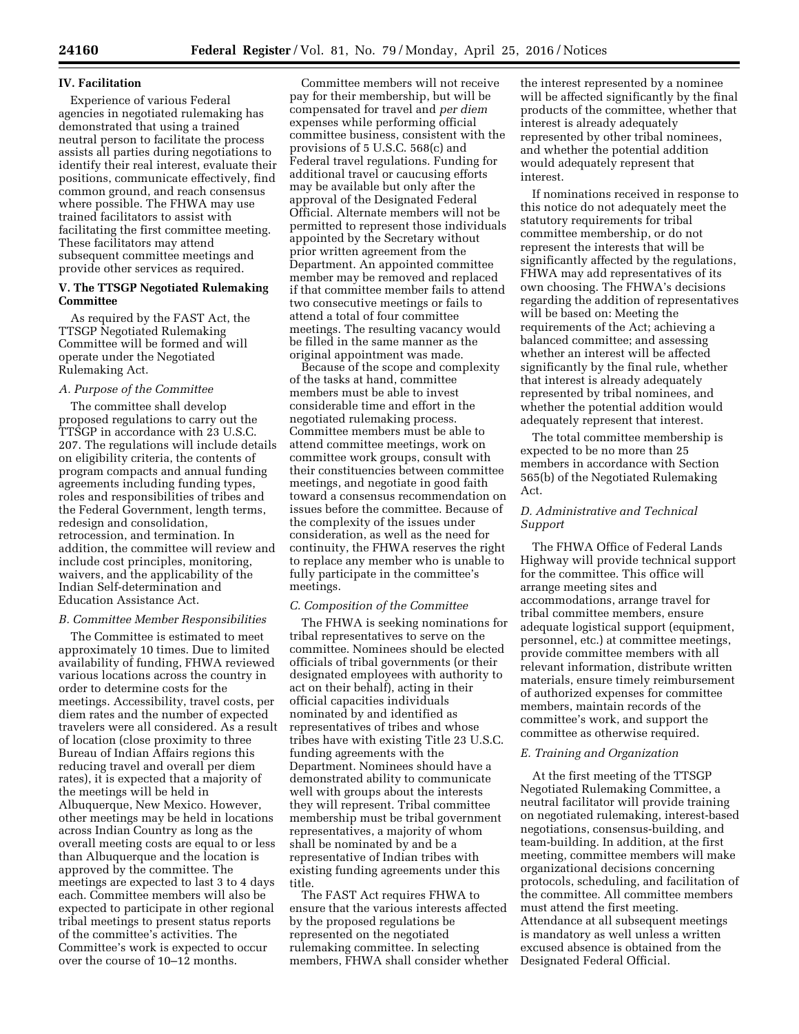## **IV. Facilitation**

Experience of various Federal agencies in negotiated rulemaking has demonstrated that using a trained neutral person to facilitate the process assists all parties during negotiations to identify their real interest, evaluate their positions, communicate effectively, find common ground, and reach consensus where possible. The FHWA may use trained facilitators to assist with facilitating the first committee meeting. These facilitators may attend subsequent committee meetings and provide other services as required.

## **V. The TTSGP Negotiated Rulemaking Committee**

As required by the FAST Act, the TTSGP Negotiated Rulemaking Committee will be formed and will operate under the Negotiated Rulemaking Act.

## *A. Purpose of the Committee*

The committee shall develop proposed regulations to carry out the TTSGP in accordance with 23 U.S.C. 207. The regulations will include details on eligibility criteria, the contents of program compacts and annual funding agreements including funding types, roles and responsibilities of tribes and the Federal Government, length terms, redesign and consolidation, retrocession, and termination. In addition, the committee will review and include cost principles, monitoring, waivers, and the applicability of the Indian Self-determination and Education Assistance Act.

## *B. Committee Member Responsibilities*

The Committee is estimated to meet approximately 10 times. Due to limited availability of funding, FHWA reviewed various locations across the country in order to determine costs for the meetings. Accessibility, travel costs, per diem rates and the number of expected travelers were all considered. As a result of location (close proximity to three Bureau of Indian Affairs regions this reducing travel and overall per diem rates), it is expected that a majority of the meetings will be held in Albuquerque, New Mexico. However, other meetings may be held in locations across Indian Country as long as the overall meeting costs are equal to or less than Albuquerque and the location is approved by the committee. The meetings are expected to last 3 to 4 days each. Committee members will also be expected to participate in other regional tribal meetings to present status reports of the committee's activities. The Committee's work is expected to occur over the course of 10–12 months.

Committee members will not receive pay for their membership, but will be compensated for travel and *per diem*  expenses while performing official committee business, consistent with the provisions of 5 U.S.C. 568(c) and Federal travel regulations. Funding for additional travel or caucusing efforts may be available but only after the approval of the Designated Federal Official. Alternate members will not be permitted to represent those individuals appointed by the Secretary without prior written agreement from the Department. An appointed committee member may be removed and replaced if that committee member fails to attend two consecutive meetings or fails to attend a total of four committee meetings. The resulting vacancy would be filled in the same manner as the original appointment was made.

Because of the scope and complexity of the tasks at hand, committee members must be able to invest considerable time and effort in the negotiated rulemaking process. Committee members must be able to attend committee meetings, work on committee work groups, consult with their constituencies between committee meetings, and negotiate in good faith toward a consensus recommendation on issues before the committee. Because of the complexity of the issues under consideration, as well as the need for continuity, the FHWA reserves the right to replace any member who is unable to fully participate in the committee's meetings.

## *C. Composition of the Committee*

The FHWA is seeking nominations for tribal representatives to serve on the committee. Nominees should be elected officials of tribal governments (or their designated employees with authority to act on their behalf), acting in their official capacities individuals nominated by and identified as representatives of tribes and whose tribes have with existing Title 23 U.S.C. funding agreements with the Department. Nominees should have a demonstrated ability to communicate well with groups about the interests they will represent. Tribal committee membership must be tribal government representatives, a majority of whom shall be nominated by and be a representative of Indian tribes with existing funding agreements under this title.

The FAST Act requires FHWA to ensure that the various interests affected by the proposed regulations be represented on the negotiated rulemaking committee. In selecting members, FHWA shall consider whether

the interest represented by a nominee will be affected significantly by the final products of the committee, whether that interest is already adequately represented by other tribal nominees, and whether the potential addition would adequately represent that interest.

If nominations received in response to this notice do not adequately meet the statutory requirements for tribal committee membership, or do not represent the interests that will be significantly affected by the regulations, FHWA may add representatives of its own choosing. The FHWA's decisions regarding the addition of representatives will be based on: Meeting the requirements of the Act; achieving a balanced committee; and assessing whether an interest will be affected significantly by the final rule, whether that interest is already adequately represented by tribal nominees, and whether the potential addition would adequately represent that interest.

The total committee membership is expected to be no more than 25 members in accordance with Section 565(b) of the Negotiated Rulemaking Act.

# *D. Administrative and Technical Support*

The FHWA Office of Federal Lands Highway will provide technical support for the committee. This office will arrange meeting sites and accommodations, arrange travel for tribal committee members, ensure adequate logistical support (equipment, personnel, etc.) at committee meetings, provide committee members with all relevant information, distribute written materials, ensure timely reimbursement of authorized expenses for committee members, maintain records of the committee's work, and support the committee as otherwise required.

## *E. Training and Organization*

At the first meeting of the TTSGP Negotiated Rulemaking Committee, a neutral facilitator will provide training on negotiated rulemaking, interest-based negotiations, consensus-building, and team-building. In addition, at the first meeting, committee members will make organizational decisions concerning protocols, scheduling, and facilitation of the committee. All committee members must attend the first meeting. Attendance at all subsequent meetings is mandatory as well unless a written excused absence is obtained from the Designated Federal Official.